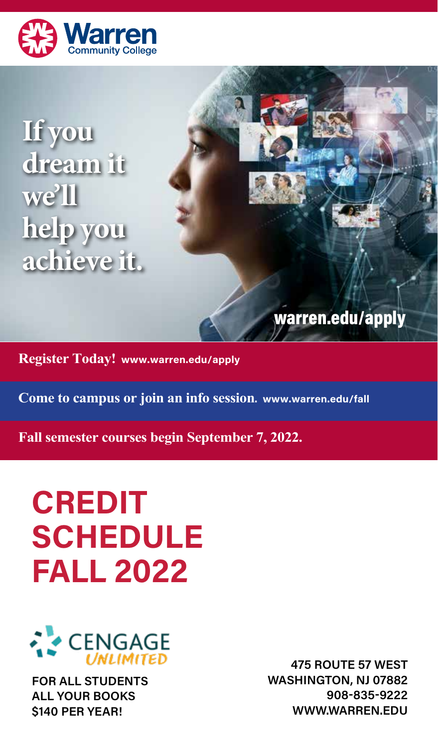

**If you dream it we'll help you achieve it.**

warren.edu/apply

**Register Today! www.warren.edu/apply** 

**Come to campus or join an info session. www.warren.edu/fall**

**Fall semester courses begin September 7, 2022.**

# **CREDIT SCHEDULE FALL 2022**



**FOR ALL STUDENTS ALL YOUR BOOKS \$140 PER YEAR!**

**475 ROUTE 57 WEST WASHINGTON, NJ 07882 908-835-9222 WWW.WARREN.EDU**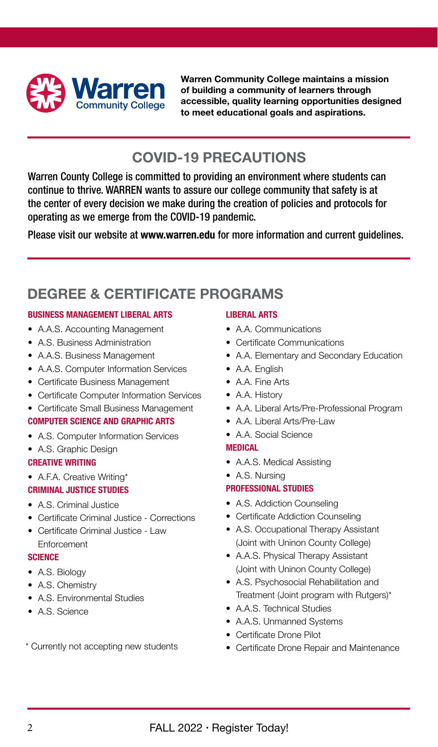

**Warren Community College maintains a mission of building a community of learners through accessible, quality learning opportunities designed to meet educational goals and aspirations.**

## **COVID-19 PRECAUTIONS**

Warren County College is committed to providing an environment where students can continue to thrive. WARREN wants to assure our college community that safety is at the center of every decision we make during the creation of policies and protocols for operating as we emerge from the COVID-19 pandemic.

Please visit our website at **www.warren.edu** for more information and current guidelines.

## **DEGREE & CERTIFICATE PROGRAMS**

#### **BUSINESS MANAGEMENT LIBERAL ARTS**

- A.A.S. Accounting Management
- A.S. Business Administration
- A.A.S. Business Management
- A.A.S. Computer Information Services
- Certificate Business Management
- Certificate Computer Information Services<br>• Certificate Small Business Management
- Certificate Small Business Management

#### **COMPUTER SCIENCE AND GRAPHIC ARTS**

- A.S. Computer Information Services
- A.S. Graphic Design

#### **CREATIVE WRITING**

• A.F.A. Creative Writing\*

#### **CRIMINAL JUSTICE STUDIES**

- A.S. Criminal Justice
- Certificate Criminal Justice Corrections
- Certificate Criminal Justice Law Enforcement

#### **SCIENCE**

- A.S. Biology
- A.S. Chemistry
- A.S. Environmental Studies
- A.S. Science

\* Currently not accepting new students

#### **LIBERAL ARTS**

- A.A. Communications
- Certificate Communications
- A.A. Elementary and Secondary Education
- A.A. English
- A.A. Fine Arts
- A.A. History
- A.A. Liberal Arts/Pre-Professional Program
- A.A. Liberal Arts/Pre-Law
- A.A. Social Science

#### **MEDICAL**

- A.A.S. Medical Assisting
- A.S. Nursing

#### **PROFESSIONAL STUDIES**

- A.S. Addiction Counseling
- Certificate Addiction Counseling
- A.S. Occupational Therapy Assistant (Joint with Uninon County College)
- A.A.S. Physical Therapy Assistant (Joint with Uninon County College)
- A.S. Psychosocial Rehabilitation and Treatment (Joint program with Rutgers)\*
- A.A.S. Technical Studies
- A.A.S. Unmanned Systems
- Certificate Drone Pilot
- Certificate Drone Repair and Maintenance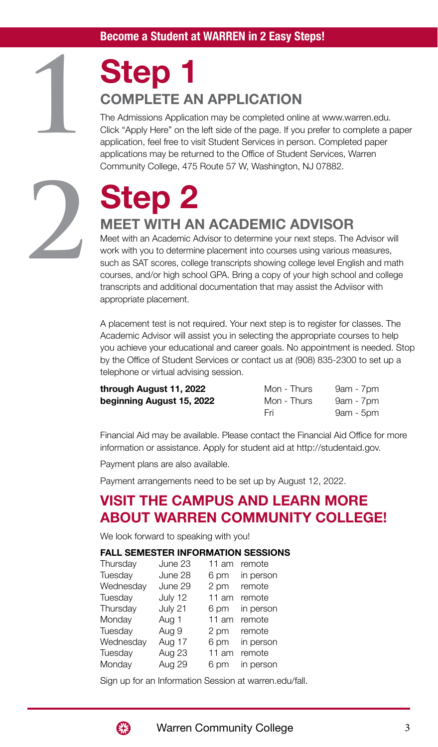## **Step 1 COMPLETE AN APPLICATION**

The Admissions Application may be completed online at www.warren.edu. Click "Apply Here" on the left side of the page. If you prefer to complete a paper application, feel free to visit Student Services in person. Completed paper applications may be returned to the Office of Student Services, Warren Community College, 475 Route 57 W, Washington, NJ 07882.



**1**

# **Step 2**

### **MEET WITH AN ACADEMIC ADVISOR**

Meet with an Academic Advisor to determine your next steps. The Advisor will work with you to determine placement into courses using various measures, such as SAT scores, college transcripts showing college level English and math courses, and/or high school GPA. Bring a copy of your high school and college transcripts and additional documentation that may assist the Adviisor with appropriate placement.

A placement test is not required. Your next step is to register for classes. The Academic Advisor will assist you in selecting the appropriate courses to help you achieve your educational and career goals. No appointment is needed. Stop by the Office of Student Services or contact us at (908) 835-2300 to set up a telephone or virtual advising session.

| through August 11, 2022   | Mon - Thurs | $9am - 7pm$ |
|---------------------------|-------------|-------------|
| beginning August 15, 2022 | Mon - Thurs | $9am - 7pm$ |
|                           | Fri         | $9am - 5pm$ |

Financial Aid may be available. Please contact the Financial Aid Office for more information or assistance. Apply for student aid at http://studentaid.gov.

Payment plans are also available.

Payment arrangements need to be set up by August 12, 2022.

## **VISIT THE CAMPUS AND LEARN MORE ABOUT WARREN COMMUNITY COLLEGE!**

We look forward to speaking with you!

#### **FALL SEMESTER INFORMATION SESSIONS**

| Thursday  | June 23 | 11 am | remote    |
|-----------|---------|-------|-----------|
| Tuesday   | June 28 | 6 pm  | in person |
| Wednesday | June 29 | 2 pm  | remote    |
| Tuesday   | July 12 | 11 am | remote    |
| Thursday  | July 21 | 6 pm  | in person |
| Monday    | Aug 1   | 11 am | remote    |
| Tuesday   | Aug 9   | 2 pm  | remote    |
| Wednesday | Aug 17  | 6 pm  | in person |
| Tuesday   | Aug 23  | 11 am | remote    |
| Monday    | Aug 29  | 6 pm  | in person |
|           |         |       |           |

Sign up for an Information Session at warren.edu/fall.

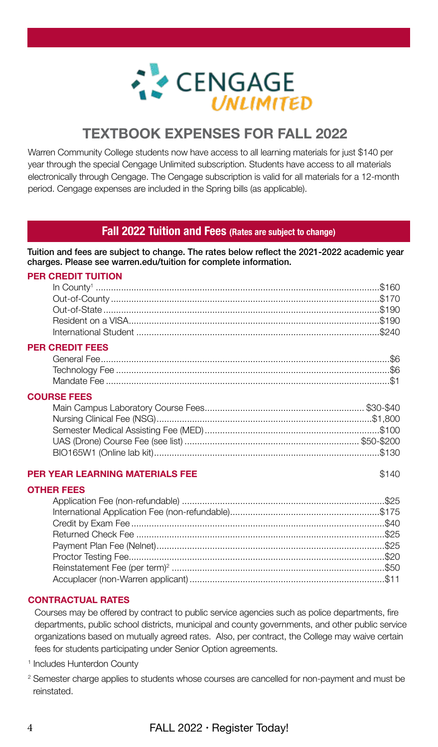

## **TEXTBOOK EXPENSES FOR FALL 2022**

Warren Community College students now have access to all learning materials for just \$140 per year through the special Cengage Unlimited subscription. Students have access to all materials electronically through Cengage. The Cengage subscription is valid for all materials for a 12-month period. Cengage expenses are included in the Spring bills (as applicable).

#### **Fall 2022 Tuition and Fees (Rates are subject to change)**

Tuition and fees are subject to change. The rates below reflect the 2021-2022 academic year charges. Please see warren.edu/tuition for complete information.

#### **PER CREDIT TUITION**

| $\begin{minipage}{0.9\linewidth} \textbf{In County} \textbf{160} \\ \textbf{Out-of-Country} \textbf{261} \\ \textbf{370} \end{minipage}$ |  |
|------------------------------------------------------------------------------------------------------------------------------------------|--|
|                                                                                                                                          |  |
|                                                                                                                                          |  |
|                                                                                                                                          |  |
| <b>PER CREDIT FEES</b>                                                                                                                   |  |
|                                                                                                                                          |  |
|                                                                                                                                          |  |
|                                                                                                                                          |  |
| <b>COURSE FEES</b>                                                                                                                       |  |
|                                                                                                                                          |  |
|                                                                                                                                          |  |
|                                                                                                                                          |  |
|                                                                                                                                          |  |
|                                                                                                                                          |  |

#### **PER YEAR LEARNING MATERIALS FEE** \$140

#### **OTHER FEES**

#### **CONTRACTUAL RATES**

Courses may be offered by contract to public service agencies such as police departments, fire departments, public school districts, municipal and county governments, and other public service organizations based on mutually agreed rates. Also, per contract, the College may waive certain fees for students participating under Senior Option agreements.

1 Includes Hunterdon County

<sup>2</sup> Semester charge applies to students whose courses are cancelled for non-payment and must be reinstated.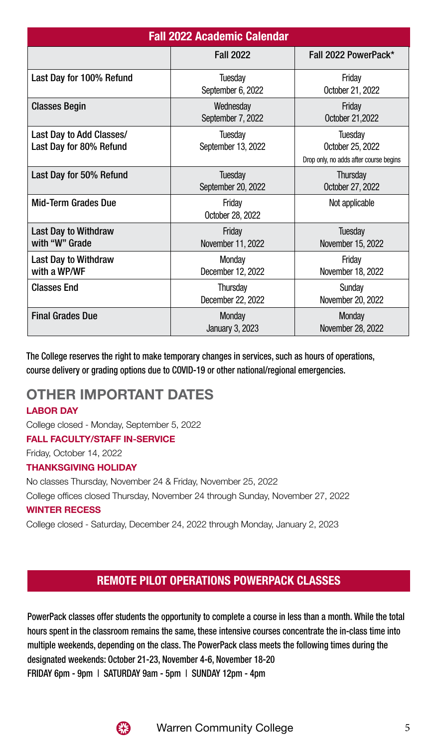| <b>Fall 2022 Academic Calendar</b>                  |                                |                                                                              |  |  |  |
|-----------------------------------------------------|--------------------------------|------------------------------------------------------------------------------|--|--|--|
|                                                     | <b>Fall 2022</b>               | Fall 2022 PowerPack*                                                         |  |  |  |
| Last Day for 100% Refund                            | Tuesday<br>September 6, 2022   | Fridav<br>October 21, 2022                                                   |  |  |  |
| <b>Classes Begin</b>                                | Wednesday<br>September 7, 2022 | Friday<br>0ctober 21,2022                                                    |  |  |  |
| Last Day to Add Classes/<br>Last Day for 80% Refund | Tuesday<br>September 13, 2022  | <b>Tuesday</b><br>October 25, 2022<br>Drop only, no adds after course begins |  |  |  |
| Last Day for 50% Refund                             | Tuesday<br>September 20, 2022  | Thursday<br>October 27, 2022                                                 |  |  |  |
| Mid-Term Grades Due                                 | Friday<br>October 28, 2022     | Not applicable                                                               |  |  |  |
| Last Day to Withdraw<br>with "W" Grade              | Friday<br>November 11, 2022    | <b>Tuesday</b><br>November 15, 2022                                          |  |  |  |
| Last Day to Withdraw<br>with a WP/WF                | Monday<br>December 12, 2022    | Friday<br>November 18, 2022                                                  |  |  |  |
| <b>Classes End</b>                                  | Thursday<br>December 22, 2022  | Sunday<br>November 20, 2022                                                  |  |  |  |
| <b>Final Grades Due</b>                             | Monday<br>January 3, 2023      | Monday<br>November 28, 2022                                                  |  |  |  |

The College reserves the right to make temporary changes in services, such as hours of operations, course delivery or grading options due to COVID-19 or other national/regional emergencies.

## **OTHER IMPORTANT DATES**

#### **LABOR DAY**

College closed - Monday, September 5, 2022

#### **FALL FACULTY/STAFF IN-SERVICE**

Friday, October 14, 2022

#### **THANKSGIVING HOLIDAY**

No classes Thursday, November 24 & Friday, November 25, 2022

College offices closed Thursday, November 24 through Sunday, November 27, 2022

#### **WINTER RECESS**

College closed - Saturday, December 24, 2022 through Monday, January 2, 2023

### **REMOTE PILOT OPERATIONS POWERPACK CLASSES**

PowerPack classes offer students the opportunity to complete a course in less than a month. While the total hours spent in the classroom remains the same, these intensive courses concentrate the in-class time into multiple weekends, depending on the class. The PowerPack class meets the following times during the designated weekends: October 21-23, November 4-6, November 18-20 FRIDAY 6pm - 9pm | SATURDAY 9am - 5pm | SUNDAY 12pm - 4pm

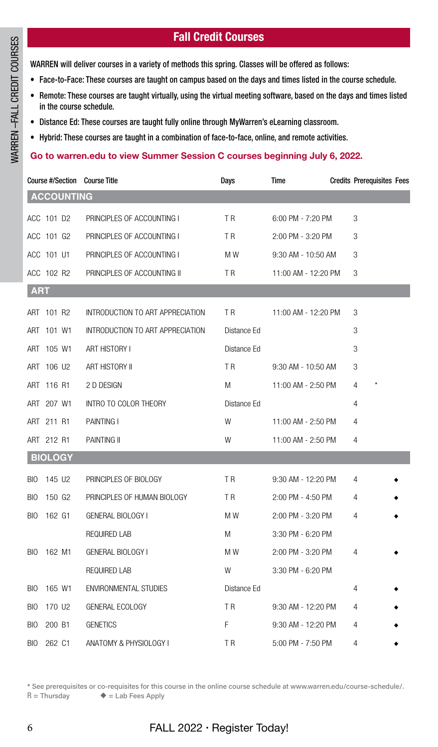#### **Fall Credit Courses**

WARREN will deliver courses in a variety of methods this spring. Classes will be offered as follows:

- Face-to-Face: These courses are taught on campus based on the days and times listed in the course schedule.
- Remote: These courses are taught virtually, using the virtual meeting software, based on the days and times listed in the course schedule.
- Distance Ed: These courses are taught fully online through MyWarren's eLearning classroom.
- Hybrid: These courses are taught in a combination of face-to-face, online, and remote activities.

#### **Go to warren.edu to view Summer Session C courses beginning July 6, 2022.**

| Course #/Section Course Title    |                                  | Days           | Time                | <b>Credits Prerequisites Fees</b> |  |
|----------------------------------|----------------------------------|----------------|---------------------|-----------------------------------|--|
| <b>ACCOUNTING</b>                |                                  |                |                     |                                   |  |
| ACC 101 D2                       | PRINCIPLES OF ACCOUNTING I       | T <sub>R</sub> | 6:00 PM - 7:20 PM   | 3                                 |  |
| ACC 101 G2                       | PRINCIPLES OF ACCOUNTING I       | T <sub>R</sub> | 2:00 PM - 3:20 PM   | 3                                 |  |
| ACC 101 U1                       | PRINCIPLES OF ACCOUNTING I       | M W            | 9:30 AM - 10:50 AM  | 3                                 |  |
| ACC 102 R2                       | PRINCIPLES OF ACCOUNTING II      | T R            | 11:00 AM - 12:20 PM | 3                                 |  |
| <b>ART</b>                       |                                  |                |                     |                                   |  |
| ART 101 R2                       | INTRODUCTION TO ART APPRECIATION | T <sub>R</sub> | 11:00 AM - 12:20 PM | 3                                 |  |
| ART 101 W1                       | INTRODUCTION TO ART APPRECIATION | Distance Ed    |                     | 3                                 |  |
| ART 105 W1                       | ART HISTORY I                    | Distance Ed    |                     | 3                                 |  |
| ART 106 U2                       | ART HISTORY II                   | T <sub>R</sub> | 9:30 AM - 10:50 AM  | 3                                 |  |
| ART 116 R1                       | 2 D DESIGN                       | M              | 11:00 AM - 2:50 PM  | 4                                 |  |
| ART 207 W1                       | INTRO TO COLOR THEORY            | Distance Ed    |                     | 4                                 |  |
| ART 211 R1                       | <b>PAINTING I</b>                | W              | 11:00 AM - 2:50 PM  | 4                                 |  |
| ART 212 R1                       | PAINTING II                      | W              | 11:00 AM - 2:50 PM  | 4                                 |  |
| <b>BIOLOGY</b>                   |                                  |                |                     |                                   |  |
| 145 U2<br><b>BIO</b>             | PRINCIPLES OF BIOLOGY            | <b>TR</b>      | 9:30 AM - 12:20 PM  | 4                                 |  |
| 150 G <sub>2</sub><br><b>BIO</b> | PRINCIPLES OF HUMAN BIOLOGY      | T <sub>R</sub> | 2:00 PM - 4:50 PM   | 4                                 |  |
| 162 G1<br><b>BIO</b>             | GENERAL BIOLOGY I                | M W            | 2:00 PM - 3:20 PM   | 4                                 |  |
|                                  | REQUIRED LAB                     | M              | 3:30 PM - 6:20 PM   |                                   |  |
| 162 M1<br><b>BIO</b>             | GENERAL BIOLOGY I                | M W            | 2:00 PM - 3:20 PM   | 4                                 |  |
|                                  | REQUIRED LAB                     | W              | 3:30 PM - 6:20 PM   |                                   |  |
| 165 W1<br><b>BIO</b>             | ENVIRONMENTAL STUDIES            | Distance Ed    |                     | 4                                 |  |
| 170 U <sub>2</sub><br><b>BIO</b> | GENERAL ECOLOGY                  | <b>TR</b>      | 9:30 AM - 12:20 PM  | 4                                 |  |
| <b>BIO</b><br>200 B1             | <b>GENETICS</b>                  | F              | 9:30 AM - 12:20 PM  | 4                                 |  |
| 262 C1<br><b>BIO</b>             | ANATOMY & PHYSIOLOGY I           | T <sub>R</sub> | 5:00 PM - 7:50 PM   | $\overline{4}$                    |  |

\* See prerequisites or co-requisites for this course in the online course schedule at www.warren.edu/course-schedule/.  $R =$ Thursday  $\blacklozenge$  = Lab Fees Apply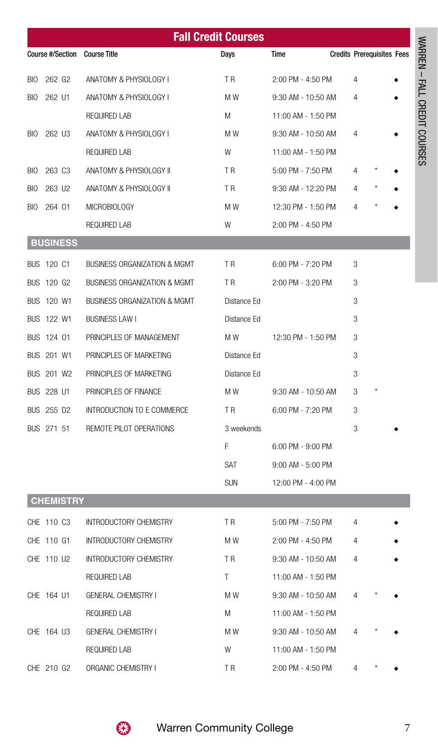|     | <b>Fall Credit Courses</b> |                               |                |                    |  |                                   |  |  |
|-----|----------------------------|-------------------------------|----------------|--------------------|--|-----------------------------------|--|--|
|     |                            | Course #/Section Course Title | Days           | Time               |  | <b>Credits Prerequisites Fees</b> |  |  |
| BIO | 262 G2                     | ANATOMY & PHYSIOLOGY I        | T R            | 2:00 PM - 4:50 PM  |  | 4                                 |  |  |
| BIO | 262 U1                     | ANATOMY & PHYSIOLOGY I        | M W            | 9:30 AM - 10:50 AM |  | 4                                 |  |  |
|     |                            | REQUIRED LAB                  | M              | 11:00 AM - 1:50 PM |  |                                   |  |  |
| BIO | 262 U3                     | ANATOMY & PHYSIOLOGY I        | M W            | 9:30 AM - 10:50 AM |  | 4                                 |  |  |
|     |                            | REQUIRED LAB                  | W              | 11:00 AM - 1:50 PM |  |                                   |  |  |
| BIO | 263 C <sub>3</sub>         | ANATOMY & PHYSIOLOGY II       | T R            | 5:00 PM - 7:50 PM  |  | 4                                 |  |  |
| BIO | 263 U <sub>2</sub>         | ANATOMY & PHYSIOLOGY II       | T <sub>R</sub> | 9:30 AM - 12:20 PM |  | 4                                 |  |  |
| BIO | 264 01                     | MICROBIOLOGY                  | M W            | 12:30 PM - 1:50 PM |  | 4                                 |  |  |
|     |                            | REQUIRED LAB                  | W              | 2:00 PM - 4:50 PM  |  |                                   |  |  |
|     | <b>BUSINESS</b>            |                               |                |                    |  |                                   |  |  |
|     | BUS 120 C1                 | BUSINESS ORGANIZATION & MGMT  | T <sub>R</sub> | 6:00 PM - 7:20 PM  |  | 3                                 |  |  |
|     | BUS 120 G2                 | BUSINESS ORGANIZATION & MGMT  | TR.            | 2:00 PM - 3:20 PM  |  | 3                                 |  |  |
|     | BUS 120 W1                 | BUSINESS ORGANIZATION & MGMT  | Distance Ed    |                    |  | 3                                 |  |  |
|     | BUS 122 W1                 | <b>BUSINESS LAW I</b>         | Distance Ed    |                    |  | 3                                 |  |  |
|     | BUS 124 01                 | PRINCIPLES OF MANAGEMENT      | M W            | 12:30 PM - 1:50 PM |  | 3                                 |  |  |
|     | BUS 201 W1                 | PRINCIPLES OF MARKETING       | Distance Ed    |                    |  | 3                                 |  |  |
|     | BUS 201 W2                 | PRINCIPLES OF MARKETING       | Distance Ed    |                    |  | 3                                 |  |  |
|     | BUS 228 U1                 | PRINCIPLES OF FINANCE         | M W            | 9:30 AM - 10:50 AM |  | 3                                 |  |  |
|     | BUS 255 D2                 | INTRODUCTION TO E COMMERCE    | T R            | 6:00 PM - 7:20 PM  |  | 3                                 |  |  |
|     | BUS 271 51                 | REMOTE PILOT OPERATIONS       | 3 weekends     |                    |  | 3                                 |  |  |
|     |                            |                               | F              | 6:00 PM - 9:00 PM  |  |                                   |  |  |
|     |                            |                               | SAT            | 9:00 AM - 5:00 PM  |  |                                   |  |  |
|     |                            |                               | SUN            | 12:00 PM - 4:00 PM |  |                                   |  |  |
|     | <b>CHEMISTRY</b>           |                               |                |                    |  |                                   |  |  |
|     | CHE 110 C3                 | INTRODUCTORY CHEMISTRY        | T R            | 5:00 PM - 7:50 PM  |  | 4                                 |  |  |
|     | CHE 110 G1                 | INTRODUCTORY CHEMISTRY        | M W            | 2:00 PM - 4:50 PM  |  | 4                                 |  |  |
|     | CHE 110 U2                 | INTRODUCTORY CHEMISTRY        | TR.            | 9:30 AM - 10:50 AM |  | 4                                 |  |  |
|     |                            | REQUIRED LAB                  | T.             | 11:00 AM - 1:50 PM |  |                                   |  |  |
|     | CHE 164 U1                 | <b>GENERAL CHEMISTRY I</b>    | M W            | 9:30 AM - 10:50 AM |  | 4                                 |  |  |
|     |                            | REQUIRED LAB                  | M              | 11:00 AM - 1:50 PM |  |                                   |  |  |
|     | CHE 164 U3                 | <b>GENERAL CHEMISTRY I</b>    | M W            | 9:30 AM - 10:50 AM |  | 4                                 |  |  |
|     |                            | REQUIRED LAB                  | W              | 11:00 AM - 1:50 PM |  |                                   |  |  |
|     | CHE 210 G2                 | ORGANIC CHEMISTRY I           | T R            | 2:00 PM - 4:50 PM  |  | 4                                 |  |  |



WARREN – FALL CREDIT COURSES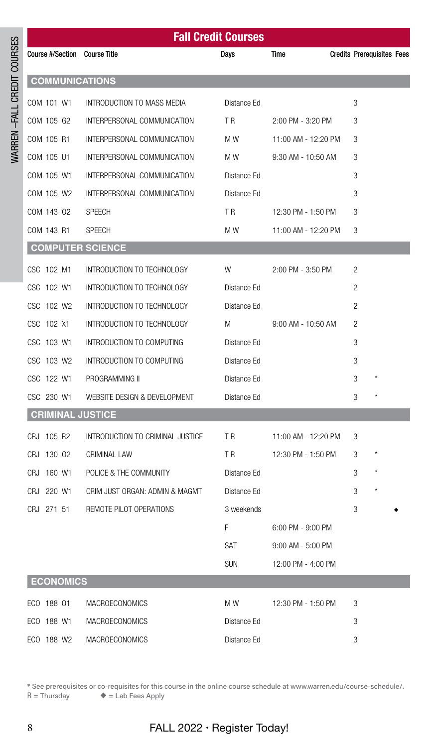|                               | <b>Fall Credit Courses</b>       |                |                      |                                   |  |  |  |
|-------------------------------|----------------------------------|----------------|----------------------|-----------------------------------|--|--|--|
| Course #/Section Course Title |                                  | Days           | Time                 | <b>Credits Prerequisites Fees</b> |  |  |  |
| <b>COMMUNICATIONS</b>         |                                  |                |                      |                                   |  |  |  |
| COM 101 W1                    | INTRODUCTION TO MASS MEDIA       | Distance Ed    |                      | 3                                 |  |  |  |
| COM 105 G2                    | INTERPERSONAL COMMUNICATION      | T R            | 2:00 PM - 3:20 PM    | 3                                 |  |  |  |
| COM 105 R1                    | INTERPERSONAL COMMUNICATION      | M W            | 11:00 AM - 12:20 PM  | 3                                 |  |  |  |
| COM 105 U1                    | INTERPERSONAL COMMUNICATION      | M W            | 9:30 AM - 10:50 AM   | 3                                 |  |  |  |
| COM 105 W1                    | INTERPERSONAL COMMUNICATION      | Distance Ed    |                      | 3                                 |  |  |  |
| COM 105 W2                    | INTERPERSONAL COMMUNICATION      | Distance Ed    |                      | 3                                 |  |  |  |
| COM 143 02                    | <b>SPEECH</b>                    | T <sub>R</sub> | 12:30 PM - 1:50 PM   | 3                                 |  |  |  |
| COM 143 R1                    | <b>SPEECH</b>                    | M W            | 11:00 AM - 12:20 PM  | 3                                 |  |  |  |
| <b>COMPUTER SCIENCE</b>       |                                  |                |                      |                                   |  |  |  |
| CSC 102 M1                    | INTRODUCTION TO TECHNOLOGY       | W              | 2:00 PM - 3:50 PM    | 2                                 |  |  |  |
| CSC 102 W1                    | INTRODUCTION TO TECHNOLOGY       | Distance Ed    |                      | 2                                 |  |  |  |
| CSC 102 W2                    | INTRODUCTION TO TECHNOLOGY       | Distance Ed    |                      | 2                                 |  |  |  |
| CSC 102 X1                    | INTRODUCTION TO TECHNOLOGY       | M              | $9:00$ AM - 10:50 AM | 2                                 |  |  |  |
| CSC 103 W1                    | INTRODUCTION TO COMPUTING        | Distance Ed    |                      | 3                                 |  |  |  |
| CSC 103 W2                    | INTRODUCTION TO COMPUTING        | Distance Ed    |                      | 3                                 |  |  |  |
| CSC 122 W1                    | PROGRAMMING II                   | Distance Ed    |                      | $\star$<br>3                      |  |  |  |
| CSC 230 W1                    | WEBSITE DESIGN & DEVELOPMENT     | Distance Ed    |                      | $^{\star}$<br>3                   |  |  |  |
| <b>CRIMINAL JUSTICE</b>       |                                  |                |                      |                                   |  |  |  |
| CRJ 105 R2                    | INTRODUCTION TO CRIMINAL JUSTICE | TR             | 11:00 AM - 12:20 PM  | 3                                 |  |  |  |
| CRJ 130 02                    | CRIMINAL LAW                     | T R            | 12:30 PM - 1:50 PM   | 3                                 |  |  |  |
| CRJ 160 W1                    | POLICE & THE COMMUNITY           | Distance Ed    |                      | $\star$<br>3                      |  |  |  |
| CRJ 220 W1                    | CRIM JUST ORGAN: ADMIN & MAGMT   | Distance Ed    |                      | 3                                 |  |  |  |
| CRJ 271 51                    | REMOTE PILOT OPERATIONS          | 3 weekends     |                      | 3                                 |  |  |  |
|                               |                                  | F.             | 6:00 PM - 9:00 PM    |                                   |  |  |  |
|                               |                                  | SAT            | 9:00 AM - 5:00 PM    |                                   |  |  |  |
|                               |                                  | <b>SUN</b>     | 12:00 PM - 4:00 PM   |                                   |  |  |  |
| <b>ECONOMICS</b>              |                                  |                |                      |                                   |  |  |  |
| ECO 188 01                    | <b>MACROECONOMICS</b>            | M W            | 12:30 PM - 1:50 PM   | 3                                 |  |  |  |
| ECO 188 W1                    | <b>MACROECONOMICS</b>            | Distance Ed    |                      | 3                                 |  |  |  |
| ECO 188 W2                    | MACROECONOMICS                   | Distance Ed    |                      | 3                                 |  |  |  |

\* See prerequisites or co-requisites for this course in the online course schedule at www.warren.edu/course-schedule/.<br>R = Thursday  $\bullet$  = Lab Fees Apply  $\blacklozenge$  = Lab Fees Apply

WARREN –FALL CREDIT COURSES

WARREN-FALL CREDIT COURSES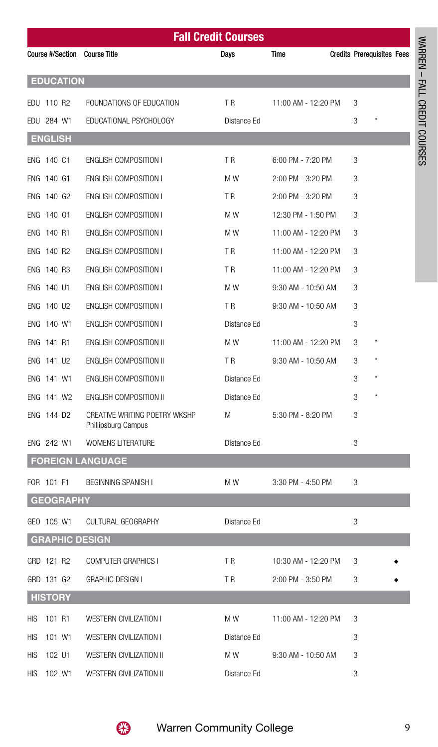|                               | <b>Fall Credit Courses</b>                           |                |                     |                                   |                              |  |
|-------------------------------|------------------------------------------------------|----------------|---------------------|-----------------------------------|------------------------------|--|
| Course #/Section Course Title |                                                      | Days           | Time                | <b>Credits Prerequisites Fees</b> |                              |  |
| <b>EDUCATION</b>              |                                                      |                |                     |                                   | WARREN - FALL CREDIT COURSES |  |
| EDU 110 R2                    | FOUNDATIONS OF EDUCATION                             | <b>TR</b>      | 11:00 AM - 12:20 PM | 3                                 |                              |  |
| EDU 284 W1                    | EDUCATIONAL PSYCHOLOGY                               | Distance Ed    |                     | 3                                 |                              |  |
| <b>ENGLISH</b>                |                                                      |                |                     |                                   |                              |  |
| ENG 140 C1                    | <b>ENGLISH COMPOSITION I</b>                         | T <sub>R</sub> | 6:00 PM - 7:20 PM   | 3                                 |                              |  |
| ENG 140 G1                    | <b>ENGLISH COMPOSITION I</b>                         | M W            | 2:00 PM - 3:20 PM   | 3                                 |                              |  |
| ENG 140 G2                    | <b>ENGLISH COMPOSITION I</b>                         | T <sub>R</sub> | 2:00 PM - 3:20 PM   | 3                                 |                              |  |
| ENG 140 01                    | <b>ENGLISH COMPOSITION I</b>                         | M W            | 12:30 PM - 1:50 PM  | 3                                 |                              |  |
| ENG 140 R1                    | <b>ENGLISH COMPOSITION I</b>                         | M W            | 11:00 AM - 12:20 PM | 3                                 |                              |  |
| ENG 140 R2                    | <b>ENGLISH COMPOSITION I</b>                         | T R            | 11:00 AM - 12:20 PM | 3                                 |                              |  |
| ENG 140 R3                    | <b>ENGLISH COMPOSITION I</b>                         | T <sub>R</sub> | 11:00 AM - 12:20 PM | 3                                 |                              |  |
| ENG 140 U1                    | <b>ENGLISH COMPOSITION I</b>                         | M W            | 9:30 AM - 10:50 AM  | 3                                 |                              |  |
| ENG 140 U2                    | <b>ENGLISH COMPOSITION I</b>                         | T <sub>R</sub> | 9:30 AM - 10:50 AM  | 3                                 |                              |  |
| ENG 140 W1                    | <b>ENGLISH COMPOSITION I</b>                         | Distance Ed    |                     | 3                                 |                              |  |
| ENG 141 R1                    | ENGLISH COMPOSITION II                               | M W            | 11:00 AM - 12:20 PM | 3                                 |                              |  |
| ENG 141 U2                    | ENGLISH COMPOSITION II                               | T <sub>R</sub> | 9:30 AM - 10:50 AM  | 3                                 |                              |  |
| ENG 141 W1                    | ENGLISH COMPOSITION II                               | Distance Ed    |                     | 3                                 |                              |  |
|                               | ENGLISH COMPOSITION II                               | Distance Ed    |                     | 3                                 |                              |  |
| ENG 141 W2                    |                                                      |                |                     |                                   |                              |  |
| ENG 144 D2                    | CREATIVE WRITING POETRY WKSHP<br>Phillipsburg Campus | M              | 5:30 PM - 8:20 PM   | 3                                 |                              |  |
| ENG 242 W1                    | <b>WOMENS LITERATURE</b>                             | Distance Ed    |                     | 3                                 |                              |  |
| <b>FOREIGN LANGUAGE</b>       |                                                      |                |                     |                                   |                              |  |
| FOR 101 F1                    | BEGINNING SPANISH I                                  | M W            | 3:30 PM - 4:50 PM   |                                   |                              |  |
| <b>GEOGRAPHY</b>              |                                                      |                |                     |                                   |                              |  |
| GEO 105 W1                    | CULTURAL GEOGRAPHY                                   | Distance Ed    |                     | 3                                 |                              |  |
| <b>GRAPHIC DESIGN</b>         |                                                      |                |                     |                                   |                              |  |
| GRD 121 R2                    | COMPUTER GRAPHICS I                                  | T R            | 10:30 AM - 12:20 PM | 3                                 |                              |  |
| GRD 131 G2                    | <b>GRAPHIC DESIGN I</b>                              | T R            | 2:00 PM - 3:50 PM   | 3                                 |                              |  |
| <b>HISTORY</b>                |                                                      |                |                     |                                   |                              |  |
| 101 R1<br>HIS                 | WESTERN CIVILIZATION I                               | M W            | 11:00 AM - 12:20 PM | 3                                 |                              |  |
| 101 W1<br>HIS                 | <b>WESTERN CIVILIZATION I</b>                        | Distance Ed    |                     | 3                                 |                              |  |
| 102 U1<br>HIS                 | WESTERN CIVILIZATION II                              | M W            | 9:30 AM - 10:50 AM  | 3                                 |                              |  |
| <b>HIS</b><br>102 W1          | WESTERN CIVILIZATION II                              | Distance Ed    |                     | 3                                 |                              |  |

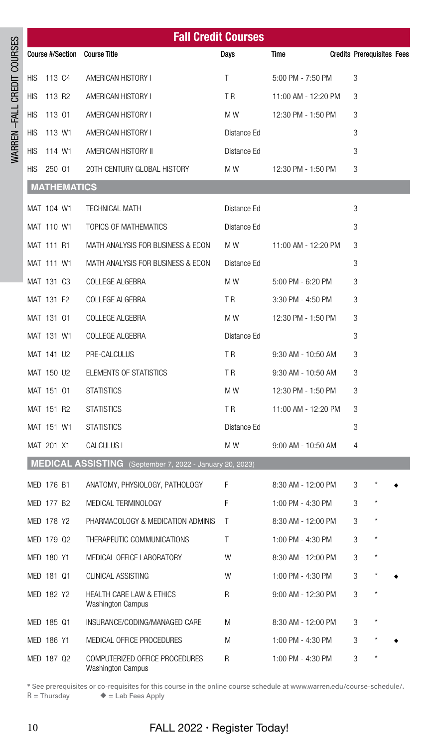|                            | <b>Fall Credit Courses</b> |                    |                                                                 |                |                      |                                   |
|----------------------------|----------------------------|--------------------|-----------------------------------------------------------------|----------------|----------------------|-----------------------------------|
|                            |                            |                    | Course #/Section Course Title                                   | Days           | Time                 | <b>Credits Prerequisites Fees</b> |
| WARREN-FALL CREDIT COURSES | HIS                        | 113 C4             | AMERICAN HISTORY I                                              | T.             | 5:00 PM - 7:50 PM    | 3                                 |
|                            | HIS                        | 113 R2             | AMERICAN HISTORY I                                              | T <sub>R</sub> | 11:00 AM - 12:20 PM  | 3                                 |
|                            | <b>HIS</b>                 | 113 01             | AMERICAN HISTORY I                                              | M W            | 12:30 PM - 1:50 PM   | 3                                 |
|                            | <b>HIS</b>                 | 113 W1             | AMERICAN HISTORY I                                              | Distance Ed    |                      | 3                                 |
|                            | <b>HIS</b>                 | 114 W1             | AMERICAN HISTORY II                                             | Distance Ed    |                      | 3                                 |
|                            | HIS                        | 250 01             | 20TH CENTURY GLOBAL HISTORY                                     | M W            | 12:30 PM - 1:50 PM   | 3                                 |
|                            |                            | <b>MATHEMATICS</b> |                                                                 |                |                      |                                   |
|                            |                            | MAT 104 W1         | <b>TECHNICAL MATH</b>                                           | Distance Ed    |                      | 3                                 |
|                            |                            | MAT 110 W1         | TOPICS OF MATHEMATICS                                           | Distance Ed    |                      | 3                                 |
|                            |                            | MAT 111 R1         | MATH ANALYSIS FOR BUSINESS & ECON                               | M W            | 11:00 AM - 12:20 PM  | 3                                 |
|                            |                            | MAT 111 W1         | MATH ANALYSIS FOR BUSINESS & ECON                               | Distance Ed    |                      | 3                                 |
|                            |                            | MAT 131 C3         | <b>COLLEGE ALGEBRA</b>                                          | M W            | 5:00 PM - 6:20 PM    | 3                                 |
|                            |                            | MAT 131 F2         | COLLEGE ALGEBRA                                                 | T R            | 3:30 PM - 4:50 PM    | 3                                 |
|                            |                            | MAT 131 01         | COLLEGE ALGEBRA                                                 | M W            | 12:30 PM - 1:50 PM   | 3                                 |
|                            |                            | MAT 131 W1         | COLLEGE ALGEBRA                                                 | Distance Ed    |                      | 3                                 |
|                            |                            | MAT 141 U2         | PRE-CALCULUS                                                    | T R            | 9:30 AM - 10:50 AM   | 3                                 |
|                            |                            | MAT 150 U2         | ELEMENTS OF STATISTICS                                          | T R            | 9:30 AM - 10:50 AM   | 3                                 |
|                            |                            | MAT 151 01         | <b>STATISTICS</b>                                               | M W            | 12:30 PM - 1:50 PM   | 3                                 |
|                            |                            | MAT 151 R2         | <b>STATISTICS</b>                                               | T R            | 11:00 AM - 12:20 PM  | 3                                 |
|                            |                            | MAT 151 W1         | <b>STATISTICS</b>                                               | Distance Ed    |                      | 3                                 |
|                            |                            | MAT 201 X1         | CALCULUS I                                                      | M W            | $9:00$ AM - 10:50 AM | 4                                 |
|                            |                            |                    | MEDICAL ASSISTING (September 7, 2022 - January 20, 2023)        |                |                      |                                   |
|                            |                            | MED 176 B1         | ANATOMY, PHYSIOLOGY, PATHOLOGY                                  | F              | 8:30 AM - 12:00 PM   | 3                                 |
|                            |                            | MED 177 B2         | MEDICAL TERMINOLOGY                                             | F              | 1:00 PM - 4:30 PM    | 3                                 |
|                            |                            | MED 178 Y2         | PHARMACOLOGY & MEDICATION ADMINIS                               | Τ              | 8:30 AM - 12:00 PM   | $\star$<br>3                      |
|                            |                            | MED 179 Q2         | THERAPEUTIC COMMUNICATIONS                                      | Τ              | 1:00 PM - 4:30 PM    | 3                                 |
|                            |                            | MED 180 Y1         | MEDICAL OFFICE LABORATORY                                       | W              | 8:30 AM - 12:00 PM   | 3                                 |
|                            |                            | MED 181 Q1         | CLINICAL ASSISTING                                              | W              | 1:00 PM - 4:30 PM    | 3                                 |
|                            |                            | MED 182 Y2         | <b>HEALTH CARE LAW &amp; ETHICS</b><br><b>Washington Campus</b> | R              | 9:00 AM - 12:30 PM   | 3                                 |
|                            |                            | MED 185 Q1         | INSURANCE/CODING/MANAGED CARE                                   | M              | 8:30 AM - 12:00 PM   | 3                                 |
|                            |                            | MED 186 Y1         | MEDICAL OFFICE PROCEDURES                                       | M              | 1:00 PM - 4:30 PM    | 3                                 |
|                            |                            | MED 187 Q2         | COMPUTERIZED OFFICE PROCEDURES<br><b>Washington Campus</b>      | R              | 1:00 PM - 4:30 PM    | 3                                 |

\* See prerequisites or co-requisites for this course in the online course schedule at www.warren.edu/course-schedule/.<br>R = Thursday  $\bullet$  = Lab Fees Apply  $\blacklozenge$  = Lab Fees Apply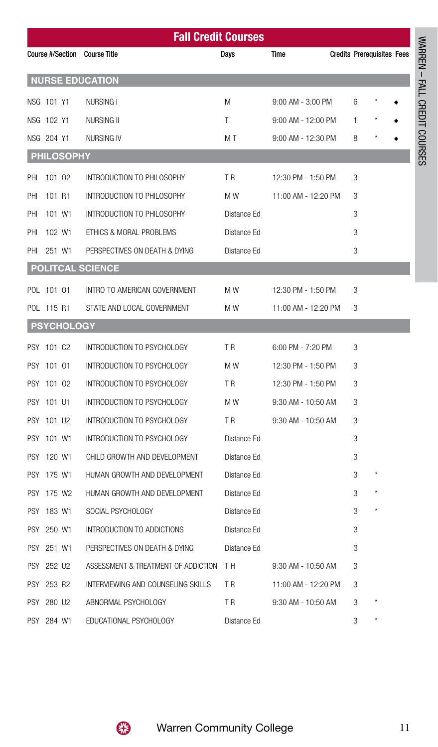|            | <b>Fall Credit Courses</b> |                   |                                        |                |                       |  |                                   |  |
|------------|----------------------------|-------------------|----------------------------------------|----------------|-----------------------|--|-----------------------------------|--|
|            |                            |                   | Course #/Section Course Title          | <b>Days</b>    | Time                  |  | <b>Credits Prerequisites Fees</b> |  |
|            |                            |                   | <b>NURSE EDUCATION</b>                 |                |                       |  |                                   |  |
|            | NSG 101 Y1                 |                   | NURSING I                              | M              | $9:00$ AM - $3:00$ PM |  | 6                                 |  |
|            | NSG 102 Y1                 |                   | NURSING II                             | T              | $9:00$ AM - 12:00 PM  |  | 1                                 |  |
|            | NSG 204 Y1                 |                   | NURSING IV                             | M T            | 9:00 AM - 12:30 PM    |  | 8                                 |  |
|            |                            | <b>PHILOSOPHY</b> |                                        |                |                       |  |                                   |  |
| PHI        | 101 02                     |                   | INTRODUCTION TO PHILOSOPHY             | T <sub>R</sub> | 12:30 PM - 1:50 PM    |  | 3                                 |  |
| PHI        | 101 R1                     |                   | INTRODUCTION TO PHILOSOPHY             | M W            | 11:00 AM - 12:20 PM   |  | 3                                 |  |
| PHI        | 101 W1                     |                   | INTRODUCTION TO PHILOSOPHY             | Distance Ed    |                       |  | 3                                 |  |
| PHI        | 102 W1                     |                   | ETHICS & MORAL PROBLEMS                | Distance Ed    |                       |  | 3                                 |  |
| PHI        | 251 W1                     |                   | PERSPECTIVES ON DEATH & DYING          | Distance Ed    |                       |  | 3                                 |  |
|            |                            |                   | <b>POLITCAL SCIENCE</b>                |                |                       |  |                                   |  |
|            | POL 101 01                 |                   | INTRO TO AMERICAN GOVERNMENT           | M W            | 12:30 PM - 1:50 PM    |  | 3                                 |  |
|            | POL 115 R1                 |                   | STATE AND LOCAL GOVERNMENT             | M W            | 11:00 AM - 12:20 PM   |  | 3                                 |  |
|            |                            | <b>PSYCHOLOGY</b> |                                        |                |                       |  |                                   |  |
|            | PSY 101 C2                 |                   | INTRODUCTION TO PSYCHOLOGY             | T <sub>R</sub> | 6:00 PM - 7:20 PM     |  | 3                                 |  |
| <b>PSY</b> | 101 01                     |                   | INTRODUCTION TO PSYCHOLOGY             | M W            | 12:30 PM - 1:50 PM    |  | 3                                 |  |
|            | PSY 101 02                 |                   | INTRODUCTION TO PSYCHOLOGY             | T R            | 12:30 PM - 1:50 PM    |  | 3                                 |  |
| <b>PSY</b> | 101 U1                     |                   | INTRODUCTION TO PSYCHOLOGY             | M W            | 9:30 AM - 10:50 AM    |  | 3                                 |  |
|            | PSY 101 U2                 |                   | INTRODUCTION TO PSYCHOLOGY             | T R            | 9:30 AM - 10:50 AM    |  | 3                                 |  |
| PSY        | 101 W1                     |                   | INTRODUCTION TO PSYCHOLOGY             | Distance Ed    |                       |  | 3                                 |  |
| <b>PSY</b> | 120 W1                     |                   | CHILD GROWTH AND DEVELOPMENT           | Distance Ed    |                       |  | 3                                 |  |
|            | PSY 175 W1                 |                   | HUMAN GROWTH AND DEVELOPMENT           | Distance Ed    |                       |  | 3                                 |  |
|            | PSY 175 W2                 |                   | HUMAN GROWTH AND DEVELOPMENT           | Distance Ed    |                       |  | $^{\star}$<br>3                   |  |
|            | PSY 183 W1                 |                   | SOCIAL PSYCHOLOGY                      | Distance Ed    |                       |  | 3                                 |  |
|            | PSY 250 W1                 |                   | INTRODUCTION TO ADDICTIONS             | Distance Ed    |                       |  | 3                                 |  |
|            | PSY 251 W1                 |                   | PERSPECTIVES ON DEATH & DYING          | Distance Ed    |                       |  | 3                                 |  |
|            | PSY 252 U2                 |                   | ASSESSMENT & TREATMENT OF ADDICTION TH |                | 9:30 AM - 10:50 AM    |  | 3                                 |  |
|            | PSY 253 R2                 |                   | INTERVIEWING AND COUNSELING SKILLS     | T R            | 11:00 AM - 12:20 PM   |  | 3                                 |  |
|            | PSY 280 U2                 |                   | ABNORMAL PSYCHOLOGY                    | T R            | 9:30 AM - 10:50 AM    |  | 3                                 |  |
|            | PSY 284 W1                 |                   | EDUCATIONAL PSYCHOLOGY                 | Distance Ed    |                       |  | 3                                 |  |



WARREN – FALL CREDIT COURSES

WARREN - FALL CREDIT COURSES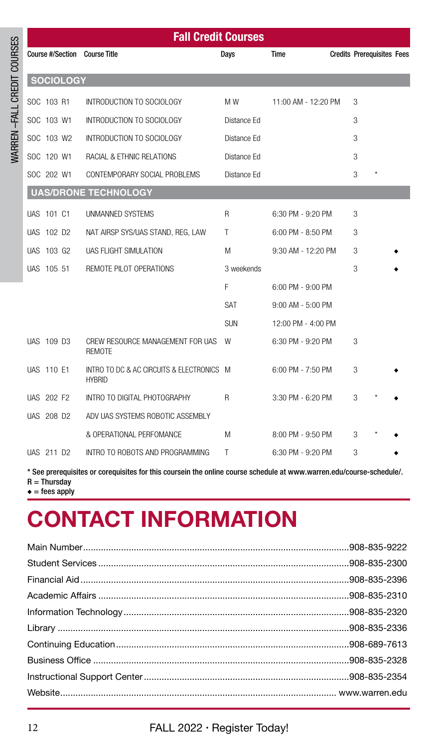| <b>Fall Credit Courses</b> |                  |                                                            |              |                     |  |                                   |  |
|----------------------------|------------------|------------------------------------------------------------|--------------|---------------------|--|-----------------------------------|--|
|                            |                  | Course #/Section Course Title                              | Days         | <b>Time</b>         |  | <b>Credits Prerequisites Fees</b> |  |
|                            | <b>SOCIOLOGY</b> |                                                            |              |                     |  |                                   |  |
| SOC 103 R1                 |                  | INTRODUCTION TO SOCIOLOGY                                  | M W          | 11:00 AM - 12:20 PM |  | 3                                 |  |
| SOC 103 W1                 |                  | INTRODUCTION TO SOCIOLOGY                                  | Distance Ed  |                     |  | 3                                 |  |
| SOC 103 W2                 |                  | INTRODUCTION TO SOCIOLOGY                                  | Distance Ed  |                     |  | 3                                 |  |
| SOC 120 W1                 |                  | RACIAL & ETHNIC RELATIONS                                  | Distance Ed  |                     |  | 3                                 |  |
| SOC 202 W1                 |                  | CONTEMPORARY SOCIAL PROBLEMS                               | Distance Ed  |                     |  | 3                                 |  |
|                            |                  | <b>UAS/DRONE TECHNOLOGY</b>                                |              |                     |  |                                   |  |
| UAS 101 C1                 |                  | UNMANNED SYSTEMS                                           | R            | 6:30 PM - 9:20 PM   |  | 3                                 |  |
| UAS 102 D2                 |                  | NAT AIRSP SYS/UAS STAND, REG, LAW                          | T            | 6:00 PM - 8:50 PM   |  | 3                                 |  |
| UAS 103 G2                 |                  | UAS FLIGHT SIMULATION                                      | M            | 9:30 AM - 12:20 PM  |  | 3                                 |  |
| UAS 105 51                 |                  | REMOTE PILOT OPERATIONS                                    | 3 weekends   |                     |  | 3                                 |  |
|                            |                  |                                                            | F            | 6:00 PM - 9:00 PM   |  |                                   |  |
|                            |                  |                                                            | SAT          | 9:00 AM - 5:00 PM   |  |                                   |  |
|                            |                  |                                                            | <b>SUN</b>   | 12:00 PM - 4:00 PM  |  |                                   |  |
| UAS 109 D3                 |                  | CREW RESOURCE MANAGEMENT FOR UAS<br><b>REMOTE</b>          | - W          | 6:30 PM - 9:20 PM   |  | 3                                 |  |
| UAS 110 E1                 |                  | INTRO TO DC & AC CIRCUITS & ELECTRONICS M<br><b>HYBRID</b> |              | 6:00 PM - 7:50 PM   |  | 3                                 |  |
| <b>UAS 202 F2</b>          |                  | INTRO TO DIGITAL PHOTOGRAPHY                               | $\mathsf{R}$ | 3:30 PM - 6:20 PM   |  | 3                                 |  |
| UAS 208 D2                 |                  | ADV UAS SYSTEMS ROBOTIC ASSEMBLY                           |              |                     |  |                                   |  |
|                            |                  | & OPERATIONAL PERFOMANCE                                   | M            | 8:00 PM - 9:50 PM   |  | 3                                 |  |
| UAS 211 D2                 |                  | INTRO TO ROBOTS AND PROGRAMMING                            | T            | 6:30 PM - 9:20 PM   |  | 3                                 |  |

\* See prerequisites or corequisites for this coursein the online course schedule at www.warren.edu/course-schedule/.  $R = Thursday$ 

 $\triangleleft$  = fees apply

WARREN –FALL CREDIT COURSES

WARREN-FALL CREDIT COURSES

# **CONTACT INFORMATION**